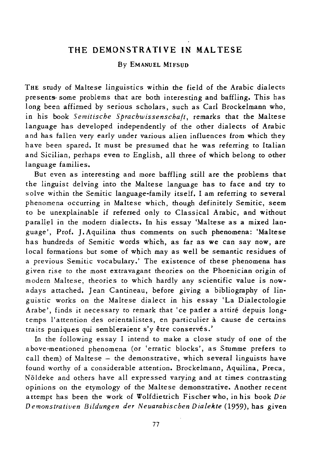## **THE DEMONSTRA Tl VE IN MAL TESE**

## By EMANUEL MIFSUD

THE study of Maltese linguistics within the field of the Arabic dialects presents some problems that are both interesting and baffling. This has long been affirmed by serious scholars, such as Carl Brockelmann who, in his book *Semitische Sprachwissenschaft*, remarks that the Maltese language has developed independently of the other dialects of Arabic and has fallen very early under various alien influences from which they have been spared. It must be presumed that he was referring to Italian and Sicilian, perhaps even to English, all three of which belong to other language families.

But even as interesting and more baffling still are the problems that the linguist delving into the Maltese language has to face and try to solve within the Semitic language-family itself. I am referring to several phenomena occurring in Maltese which, though definitely Semitic, seem to be unexplainable if referred only to Classical Arabic, and without parallel in the modern dialects. **In** his essay 'Maltese as a mixed language', Prof. J. Aquilina thus comments on such phenomena: 'Maltese has hundreds of Semitic words which, as far as we can say now, are local formations but some of which may as well be semantic residues of a previous Semitic vocabulary.' The existence of these phenomena has given rise to the most extravagant theories on the Phoenician origin of modern Maltese, theories to which hardly any scientific value *is* nowadays attached. Jean Cantineau, before giving a bibliography of linguistic works on the Maltese dialect in *his* essay 'La Dialectologie Arabe', finds it necessary to remark that 'ce parler a attiré depuis longtemps l'attention des orientalistes, en particulier a cause de certains traits puniques qui sembleraient s'y être conservés.'

In the following essay I intend to make a close study of one of the a bove-mentioned phenomena (or 'erratic blocks', as Stumme prefers to call them) of Maltese - the demonstrative, which several linguists have found worthy of a considerable attention. Brockelmann, Aquilina, Preca, Noldeke and others have all expressed varying and at times contrasting opinions on the etymology of the Maltese demonstrative. Another recent attempt has been the work of Wolfdietrich Fischerwho, inhis book *Die Demonstrativen Bildungen der Neuarabischen Dialekte* (1959), has given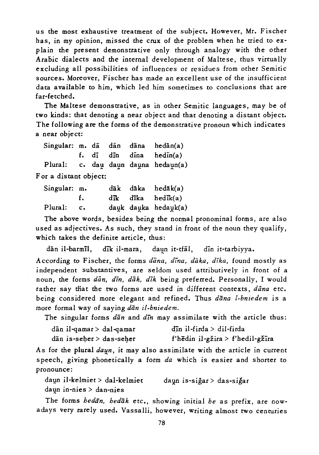us the most exhaustive treatment of the subject. However, Mr. Fischer has, in my opinion, missed the crux of the problem when he tried to explain the present demonstrative only through analogy with the other Arabic dialects and the internal development of Maltese, thus virtually excluding all possibilities of influences or residues from other Semitic sources. Moreover, Fischer has made an excellent use of the insufficient data available to him, which led him sometimes to conclusions that are far-fetched.

The Maltese demonstrative, as in other *Semitic* languages, may be of two kinds: that denoting a near object and that denoting a distant object. The following are the forms of the demonstrative pronoun which indicates a near object:

Singular: m. dā dān dāna f. di din dina Plural: c. dau daun dauna hedaun(a) For a distant object:  $hedan(a)$ hedin(a)

| Singular: m. |      |  | dāk dāka hedāk(a)                                 |
|--------------|------|--|---------------------------------------------------|
|              | - F. |  | $d\vec{a}$ k d $\vec{a}$ ka hed $\vec{a}$ k $(a)$ |
| Plural: c.   |      |  | dauk dauka hedauk(a)                              |

The above words, besides being the normal pronominal forms, are also used as adjectives. As such, they stand in front of the noun they qualify, which takes the definite article, thus:

dān il-barmīl, dīk il-mara, daun it-tfāl, din it-tarbiyya.

According to Fischer, the forms *dana, dina, daka, dika,* found mostly as independent substantives, are seldom used attributively in front of a noun, the forms dan, din, dak, dik being preferred. Personally, I would rather say that the two forms are used in different contexts, dana etc. being considered more elegant and refined. Thus *dana l-bniedem* is a more formal way of saying *dān il-bniedem*.

The singular forms *dan* and *din* may assimilate with the article thus:

|  | dān il-qamar > dal-qamar | din il-firda > dil-firda         |
|--|--------------------------|----------------------------------|
|  | dān is-seher > das-seher | f'hēdin il-gžira > f'hedil-gžīra |

As for the plural *dayn*, it may also assimilate with the article in current speech, giving phonetically a form *da* which is easier and shorter to pronounce:

daun il-kelmiet > dal-kelmiet daun is-siğar > das-siğar daun in-nies > dan-nies

The forms *hedan*, *hedak* etc., showing initial *he* as prefix, are nowadays very rarely used. Vassalli, however, writing almost two centuries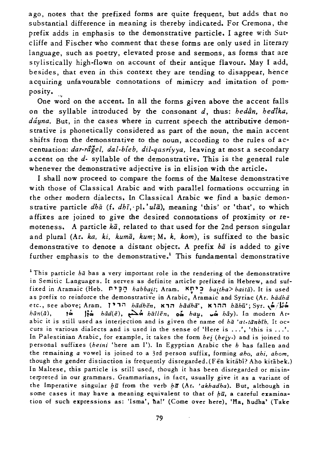ago, notes that the prefixed forms are quite frequent, but adds that no substantial difference in meaning *is* thereby indicated. For Cremona, the prefix adds in emphasis to the demonstrative particle. I agree with Sutcliffe and Fischer who comment that these forms are only used in literary language, such as poetry, elevated prose and sermons, as forms that are srylistically high-flown on account of their antique flavour. May I add, besides, that even in this context they are tending to disappear, hence acquiring unfavourable connotations of mimicry and imitation of pomposity.

One word on the accent. In all the forms given above the accent falls on the syllable introduced by the consonant *d*, thus: *bedan*, *bedika*, dáyna. But, in the cases where in current speech the attributive demonstrative *is* phonetically considered as part of the noun, the main accent shifts from the demonstrative to the noun, according to the rules of accentuation: *dar-rageI. dal-bieb. dil-qasriyya.* leaving at most a secondary accent on the d- syllable of the demonstrative. This is the general rule whenever the demonstrative adjective is in elision with the article.

I shall now proceed to compare the forms of the Maltese demonstrative with those of Classical Arabic and with parallel formations occurring in the other modern dialects. In Classical Arabic we find a basic demonstrative particle *dha* (f. *dhī*, ·pl.'*ula*), meaning 'this' or 'that', to which a ffixes are joined to give the desired connotations of proximity or remoteness. A particle  $k\bar{a}$ , related to that used for the 2nd person singular and plural (Ar. *ka, ki, kumā, kum; M. k, kom)*, is suffixed to the basic demonstrative to denote a distant object. A prefix *bii* is added to give further emphasis to the demonstrative.<sup>1</sup> This fundamental demonstrative

1 This particle *ha* has a very important role in the rendering of the demonstrative in Semitic Languages. It serves as definite article prefixed in Hebrew, and suffixed in Aramaic (Heb. n"~C1 *habbail;* Aram. I(n"~ *bailha> bailii).* It is used as prefix to reinforce the demonstrative in Arabic, Aramaic and Syriac (Ar. *hadha* etc., see above; Aram. <sup>19</sup><sup>17</sup> *hādhēn*, **Aname** *hādhā'*, **K**im *hāhū'*; Syr.  $\dot{\phi}/\dot{\phi}$ *hion*.  $\dot{\phi}$ , *hion(ā)*, *io. hād(ē)*,  $\dot{\phi}$ , *hāllēn*,  $\dot{\phi}$ , *hau*.  $\dot{\phi}$ , *hāv)*. In modern Ar*hiin(ii),* ?o. !io. *hiid(e),* ~o. *hallen,* 00. *half,* wo. hay). In modern Arabic it is still used as interjection and is given the name of *ha 'at-tanbih*. It occurs in various dialects and is used in the sense of 'Here is .. .', 'this is .. .'. In Palestinian Arabic, for example, it takes the form *hei (hejy.)* and is joined to personal suffixes *(heini* 'here am I'). In Egyptian Arabic the *h* has fallen and the remaining *a* vowel is joined to a 3rd person suffix, forming *aho, ahi, ahom,*  though the gender distinction is frequently disregarded. (Fen kitabi? Aho kitabek.) In Maltese, this particle is still used, though it has been disregarded or misinterpreted in our grammars. Grammarians, in fact, usually give it as a variant of the Imperative singular  $h\bar{u}$  from the verb  $h\bar{a}$  (Ar. *'akhadha*). But, although in some cases it may have a meaning equivalent to that of  $b\bar{u}$ , a careful examination of such expressions as: 'Isma', ha!' (Come over here), 'Ha, hudha' (Take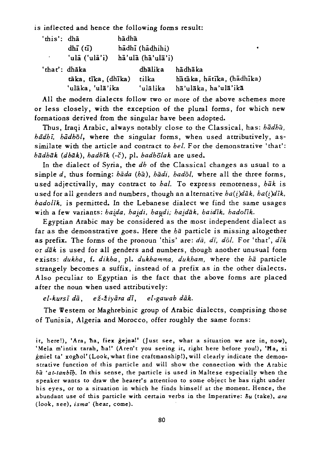is inflected and hence the following forms result:

| 'this': dhã         |                                 | hādhā |                 |                           |
|---------------------|---------------------------------|-------|-----------------|---------------------------|
|                     | $dh\tilde{I}(\tilde{u})$        |       | hādhī (hādhihi) |                           |
| $\sigma_{\rm{max}}$ | 'ulā ('ulā'i) hā'ulā (hā'ulā'i) |       |                 |                           |
| 'that': dhāka       |                                 |       | dhālika         | hādhāka                   |
|                     | tāka, tīka, (dhīka)             |       | tilka           | hātāka, hātīka, (hādhīka) |
|                     | 'ulāka, 'ulā'ika                |       | 'ulālika        | hā'ulāka, ha'ulā'ikā      |

All the modern dialects follow two or more of the above schemes more or less closely, with the exception of the plural forms, for which new formations derived from the singular have been adopted.

Thus, Iraqi Arabic, always notably close to the Classical, has: *hadha, hiidh;, hadhol,* where the singular forms, when used attributively, assimilate with the article and contract to *hel.* For the demonstrative 'that':  $b\bar{a}$ dhāk (dhāk), hadhīk (-č), pl. *hadholak* are used.

In the dialect of Syria, the *dh* of the Classical changes as usual to a simple *d*, thus forming: *hada* (*ha*), *hadi*, *hadol*, where all the three forms, used adjectivally, may contract to *hal*. To express remoteness, *hak* is used for all genders and numbers, though an alternative *ha(i)dik, ha(i)dik*, *hadolik,* is permitted. In the Lebanese dialect we find the same usages with a few variants: haida, haidi, haudi; haidāk, haidīk, hadolīk.

Egyptian Arabic may be considered as the most independent dialect as far as the demonstrative goes. Here the *ha* particle is missing altogether as prefix. The forms of the pronoun 'this' are: *da*, *dī*, *dol.* For 'that', *dīk* or *dak* is used for all genders and numbers, though another unusual form exists: *dukha,* f. *dikha,* pI. *dukhamma, dukham,* where the *hii* particle strangely becomes a suffix, instead of a prefix as in the other dialects. Also peculiar to Egyptian is the fact that the above forms are placed after the noun when used attributively:

*el-kursi dii, ez-ziyara di, el-gawab dak.* 

The Western or Maghrebinic group of Arabic dialects, comprising those of Tunisia, Algeria and Morocco, offer roughly the same forms:

it, here!), 'Ara, ha, fiex gejna!' (Just see, what a situation we are in, now), 'Mela m'intix tarah, ha!' (Aren't you seeing it, right here before you!), 'Ma, xi gmiel ta' xoghol' (Look, what fine craftmanship!), will clearly indicate the demonstrative function of this particle and will show the connection with the Arabic ha *'a t-tanblb.* In this sense, the particle is used in Maltese especially when the speaker wants to draw the hearer's attention to some object he has right under his *eyes,* or to a situation in which he finds himself at the moment. Hence, the abundant use of this particle with certain verbs in the Imperative:  $\hbar u$  (take), ara (look, see), *isma'* (hear, come).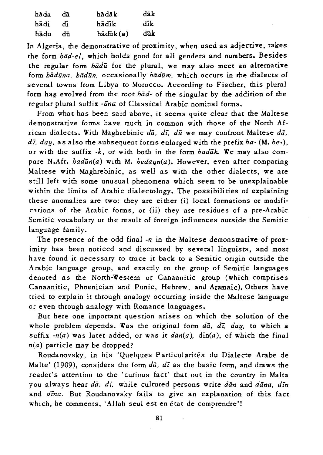| hada | dā | hadāk    | dāk |
|------|----|----------|-----|
| hādi | Æ  | hādīk    | dik |
| hādu | dū | hādūk(a) | dūk |

In Algeria, the demonstrative of proximity, when used as adjective, takes the form *had-el,* which holds good for all genders and numbers. Besides the regular form *hadu* for the plural, we may also meet an alternative form *hadilna, hadiin,* occasionally *hadilm,* which occurs in the dialects of several towns from Libya to Morocco. According to Fischer, this plural form has evolved from the root *had-* of the singular by the addition of the regular plural suffix *-ūna* of Classical Arabic nominal forms.

From what has been said above, it seems quite clear that the Maltese demonsrrative forms have much in common with those of the North African dialects. With Maghrebinic *dii, di, dil* we may confront Maltese *dii, di, dalj,* as also the subsequent forms enlarged with the prefix *ha-* (M. *he-),*  or with the suffix  $\cdot k$ , or with both in the form *hadak*. We may also compare N.Afr. *hadūn(a)* with M. *hedaun(a)*. However, even after comparing Maltese with Maghrebinic, as well as with the other dialects, we are still left with some unusual phenomena which seem to be unexplainable within the limits of Arabic dialectology. The possibilities of explaining these anomalies are two: they are either (i) local formations or modifications of the Arabic forms, or (ii) they are residues of a pre-Arabic Semitic vocabulary or the result of foreign influences outside the Semitic language family.

The presence of the odd final *-n* in the Maltese demonstrative of proximity has been noticed and discussed by several linguists, and most have found it necessary to trace it back to a Semitic origin outside the Arabic language group, and exactly to the group of Semitic languages denoted as the North-Western or Canaanitic group (which comprises Canaanitic, Phoenician and Punic, Hebrew, and Aramaic). Others have tried to explain it through analogy occurring inside the Maltese language or even through analogy with Romance languages.

But here one important question arises on which the solution of the whole problem depends. Was the original form *da*, *di*, *dau*, to which a suffix  $-n(a)$  was later added, or was it  $d\bar{a}n(a)$ ,  $d\bar{n}(a)$ , of which the final *n(a)* particle may be dropped?

Roudanovsky, in his 'Quelques Particularités du Dialecte Arabe de Malte' (1909), considers the form *dii, di* as the basic form, and draws the reader's attention to the 'curious fact' that out in the country in Malta you always hear *dii, di,* while cultured persons write *diin* and *diina, din*  and *dina.* But Roudanovsky fails to give an explanation of this fact which, he comments, 'Allah seul est en etat de comprendre'!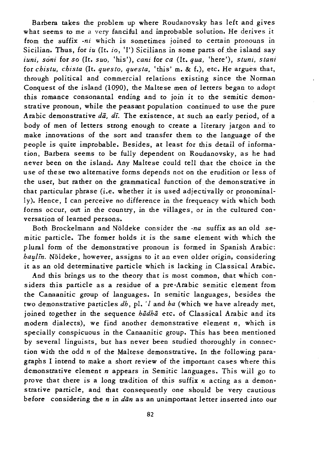Barbera takes the problem up where Roudanovsky has left and gives what seems to me a very fanciful and improbable solution. He derives it from the suffix *-ni* which is sometimes joined to certain pronouns in Sicilian. Thus, for *iu* (It. *io*, 'I') Sicilians in some parts of the island say *iuni, soni* for so (It. *suo,* 'his'), *cani* for *ca* (It. *qua,* 'here'), *stuni, stani*  for *chistu, chista* (It. *ques to, questa,* 'this' m. & f.), etc. He argues that, through political and commercial relations existing since the Norman Conquest of the island (1090), the Maltese men of letters began to adopt this romance consonantal ending and to join *it* to the semitic demonstrative pronoun, while the peasant population continued to use the pure Arabic demonstrative  $d\bar{a}$ , di. The existence, at such an early period, of a body of men of letters strong enough to create a literary jargon and to make innovations of the sort and transfer them to the language of the people is quite improbable. Besides, at least for this detail of information, Barbera seems to be fully dependent on Roudanovsky, as he had never been on the island. Any Maltese could tell that the choice in the use of these two alternative forms depends not on the erudition or less of the user, but rather on the grammatical function of the demonstrative in that particular phrase *(i.e.* whether *it is* used adjectivally or pronominally). Hence, I can perceive no difference in the frequency with which both forms occur, out in the country, in the villages, or in the cultured conversation of learned persons.

Both Brockelmann and Noldeke consider the *-na* suffix as an old semitic particle. The former holds it is the same element with which the plural form of the demonstrative pronoun is formed in Spanish Arabic: *haulin*. Nöldeke, however, assigns to it an even older origin, considering it as an old determinative particle which is lacking in Classical Arabic.

And this brings us to the theory that is most common, that which considers this particle as a residue of a pre-Arabic semitic element from the Canaanitic group of languages. In semitic languages, besides the two demonstrative particles *dh,* pI. *'I* and *ha* (which we have already met, joined together in the sequence *hadha* etc. of Classical Arabic and its modem dialects), we find another demonstrative element *n,* which is specially conspicuous in the Canaanitic group. This has been mentioned by several linguists, but has never been studied thoroughly in connection with the odd *n* of the Maltese demonstrative. In the following paragraphs I intend to make a short review of the important cases where this demonstrative element *n* appears in Semitic languages. This will go to prove that there is a long tradition of this suffix *n* acting as a demonstrative particle, and that consequently one should be very cautious before considering the *n* in *dan* as an unimportant letter inserted into our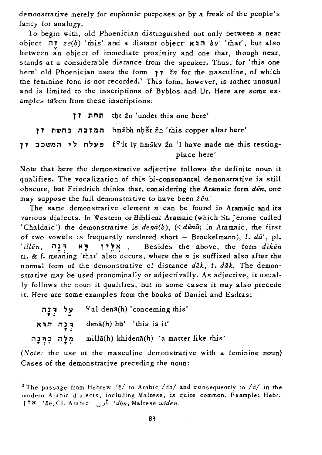demonscracive merely for euphonic purposes or by a freak of the people's fancy for analogy.

To begin with, old Phoenician distinguished not only between a near objecc **iI!** *ze(h)* 'chis' and a dismfl[ object" **KlIiI** *hu'* 'that', but also between an object of immediate proximity and one that, though near, stands at a considerable distance from the speaker. Thus, for 'this one here' old Phoenician uses the form  $\gamma \gamma$   $\zeta$ *n* for the masculine, of which the feminine form is not recorded.<sup>2</sup> This form, however, is rather unusual and is limited to the inscriptions of Byblos and Ur. Here are some examples taken from these inscriptions:

```
TT nnn tht žn 'under this one here'
   1 T nwn l n:J T Oil hmzbh n~st zn 'this copper almr here' 
f<sup>s</sup>it ly hmškv žn 'I have made me this resting-
                                       place here'
```
Note that here the demonstrative adjective follows the definite noun it qualifies. The vocalization of this bi-consonantal demonstrative is still obscure, but Friedrich thinks that, considering the Aramaic form  $d\bar{e}n$ , one may suppose the full demonstrative to have been  $\check{z}$ *en*.

The same demonstrative element  $n \cdot$  can be found in Aramaic and *its* various dialects. In Western or Biblical Aramaic (which St. Jerome called 'Chaldaic') the demonstrative is  $den\tilde{a}(b)$ ,  $( $d\tilde{e}n\tilde{a}$ ; in Aramaic, the first$ of two vowels is frequently rendered short - Brockelmann), f.  $d\bar{a}'$ , pl. 'illen, אלין דא רבה, Besides the above, the form diken m. & f. meaning' chac' also occurs, where the *n* is suffixed also after the normal form of the demonstrative of distance  $d\bar{e}k$ , f.  $d\bar{a}k$ . The demonstrative may be used pronominally or adjectivally. As adjective, it usually follows the noun it qualifies, but in some cases it may also precede it. Here are some examples from the books of Daniel and Esdras:

| עַל דְּנָה | $a^2$ al denā(h) 'conceming this'        |
|------------|------------------------------------------|
|            | ור הוא denā(h) hū' 'this is it'          |
|            | millā(h) khidenā(h) 'a matter like this' |

*(Note:* the use of the masculine demonstrative with a feminine noun) Cases of the demonstrative preceding the noun:

<sup>2</sup>The passage from Hebrew /ž/ to Arabic /dh/ and consequently to /d/ in the modern Arabic dialects, including Maltese, is quite common. Example: Hebr. TT le *'zn,* Cl. Arabic v) *'dhn,* Maltese *widen.*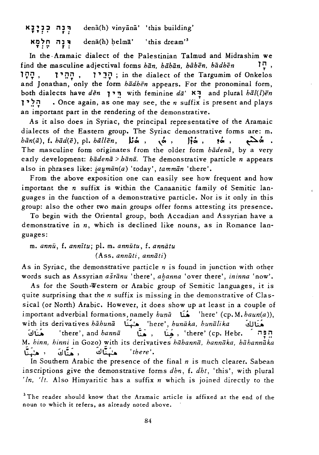רִּנַה כְנִיָנָא dena(h) vinyana' 'this building' רְבָה חֵלְמַא denā(h) helmā' 'this dream'<sup>3</sup>

In the-Aramaic dialect of the Palestinian Talmud and Midrashim we find the masculine adjectival forms  $b\bar{a}n$ ,  $b\bar{a}b\bar{a}n$ ,  $b\bar{a}b\bar{e}n$ ,  $b\bar{a}db\bar{e}n$  <sup>1</sup><sup>1</sup>, <sup>1</sup>~O ' 1" r:'O' 1" JV ; in the dialect of the Targumim of Onkelos and Jonathan, only the form *hadhen* appears. For the pronominal form, both dialects have *den* 1" ~ with feminine *da'* I<~ and plural *hal(l)en*  1"~~ • Once again, as one may see, the *n* suffix is present and plays an important part in the rendering of the demonstrative.

As it also does in Syriac, the principal representative of the Aramaic dialects of the Eastern group. The Syriac demonstrative forms are: m. *hān(ā), f. hād(ē), pl. hāllēn,* **Jiá, vá, jiá, já, pá, po., já**, The masculine form originates from the older form *hadena*, by a very early development: *hadenii* > *hanii.* The demonstrative particle *n* appears also in phrases like: *jaumān(a)* 'today', *tammān* 'there'.

From the above exposition one can easily see how frequent and how important the *n* suffix is within the Canaanitic family of Semitic languages in the function of a demonstrative particle. Nor is it only in this group: also the other two main groups offer forms attesting its presence.

To begin with the Oriental group, both Accadian and Assyrian have a demonstrative in *n,* which is declined like nouns, as in Romance languages:

m. *annu,* f. *annitu;* pI. m. *annutu,* f. *anniitu*  (Ass. *annuti, anniiti)* 

As in Syriac, the demonstrative particle  $n$  is found in junction with other words such as Assyrian *asranu* 'there', *alJanna* 'over there', *ininna* 'now'.

As for the South-Western or Arabic group of Semitic languages, it is quite surprising that the *n* suffix is missing in the demonstrative of Classical (or North) Arabic. However, it does show up at least in a couple of important adverbial formations, namely *huna* فَنَا 'here' (cp. M. *haun(a)*), with its derivatives *hiihunez* ~ 'here', *hunaka, huniilika* clJ~ a a a a *th* its derivatives *habuna* a let a let it a let a let a let a let a let a let a let a let a let a let<br>بونا , and *hanna* , مُعِنَا , 'there' (cp. Hebr. in mana ) M. *hinn, hinni* in Gozo) with its derivatives *hāhannā*, hannāka, hāhannāka  $\frac{1}{2}$  ,  $\frac{1}{2}$  ,  $\frac{1}{2}$   $\frac{1}{2}$   $\frac{1}{2}$   $\frac{1}{2}$   $\frac{1}{2}$   $\frac{1}{2}$   $\frac{1}{2}$   $\frac{1}{2}$   $\frac{1}{2}$   $\frac{1}{2}$   $\frac{1}{2}$   $\frac{1}{2}$   $\frac{1}{2}$   $\frac{1}{2}$   $\frac{1}{2}$   $\frac{1}{2}$   $\frac{1}{2}$   $\frac{1}{2}$   $\frac{1}{2}$   $\frac{1}{2$ 

In Southern Arabic the presence of the final *n* is much clearer. Sabean inscriptions give the demon strati ve forms *dhn,* f. *dht,* 'this', with plural *'In, 'It.* Also Himyaritic has a suffix *n* which is joined directly to the

<sup>3</sup> The reader should know that the Aramaic article is affixed at the end of the noun to which it refers, as already noted above.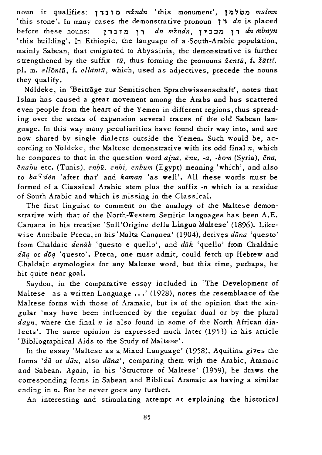noun *it* qualifies: l' l T 0 *mzndn* 'this monument', **10 "wo** *mslmn*  'this stone'. In many cases the demonstrative pronoun l' *dn* is placed before these nouns: l' l TO l' *dn mzndn,* **1" l:m l'** *dn mbnyn*  'this building'. In Ethiopic, the language of a -South-Arabic population, mainly Sabean, that emigrated to Abyssinia, the demonstrative is further strengthened by the suffix *-ta,* thus forming the pronouns *zentu,* f. *ziitti,*  pl. m. *ellontū*, f. *ellāntū*, which, used as adjectives, precede the nouns they qualify.

Noldeke, in 'Beirrage zur Semitischen Sprachwissenschaft', notes that Islam has 'caused a great movement among the Arabs and has scattered even people from the heart of the Yemen in different regions, thus spreading over the areas of expansion several traces of the old Sabean language. In this way many peculiarities have found their way into, and are now shared by single dialects outside the Yemen. Such would be, according to Noldeke, the Maltese demonstrative with its odd final *n,* which he compares to that in the question-word *aina. enu. ·a. -hom* (Syria), *ena.*   $\bar{e}$ *nahu* etc. (Tunis), *enhū, enhi, enhum* (Egypt) meaning 'which', and also to  $ba<sup>c</sup>d\bar{e}n$  'after that' and  $kam\bar{a}n$  'as well'. All these words must be formed of a Classical Arabic stem plus the *suffix ·n* which is a residue of South Arabic and which *is* missing *in* the Classical.

The first *linguist* to comment on the analogy of the Maltese demonstrative with that of the North-Western Semitic languages has been A.E. Caruana in his treatise 'Sull'Origine della Lingua Maltese' (1896). Likewise Annibale Preca, in his 'Malta Cananea' (1904), derives *dana* 'questo' from Chaldaic *denab* 'questo e quello', and *dak* 'quello' from Chaldaic *daq* or *doq* 'questo'. Preca, one must admit, could fetch up Hebrew and Chaldaic etymologies for any Maltese word, but this time, perhaps, he hit quite near goal.

Saydon, in the comparative essay included in 'The Development of Maltese as a written Language ...' (1928), notes the resemblance of the Maltese forms with those of Aramaic, but *is* of the opinion that the singular 'may have been influenced by the regular dual or by the plural *daun*, where the final *n* is also found in some of the North African dialects'. The same opinion is expressed much later (1953) in his atticle 'Bibliographical Aids to the Study of Maltese'.

In the essay 'Maltese as a Mixed Language' (1958), Aquilina gives the forms 'da or dan, also dana', comparing them with the Arabic, Aramaic and Sabean. Again, in his 'Structure of Maltese' (1959), he draws the corresponding forms in Sabean and Biblical Aramaic as having a similar ending in *n*. But he never goes any further.

An interesting and stimulating attempt at explaining the historical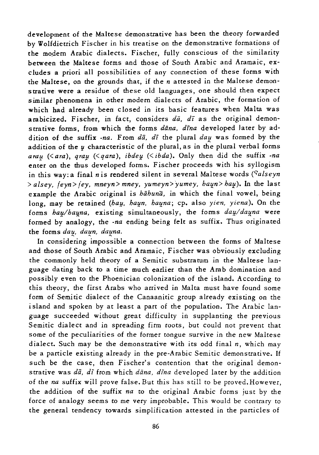development of the Maltese demonsttative has been the theory forwarded by Wolfdietrich Fischer in his treatise on the demonstrative formations of the modern Arabic dialects. Fischer, fully conscious of the similarity between the Maltese forms and those of South Arabic and Aramaic, excludes a priori all possibilities of any connection of these forms with the Maltese, on the grounds that, if the *n* attested in the Maltese demonstrative were a residue of these old languages, one should then expect similar phenomena in other modem dialects of Arabic, the formation of which had already been closed in its basic features when Malta was arabicized. Fischer, in fact, considers *da*, *dī* as the original demonstrative forms, from which the forms *dana, dina* developed later by addition of the suffix *-na*. From  $d\bar{a}$ ,  $d\bar{i}$  the plural  $dau$  was formed by the addition of the  $\mu$  characteristic of the plural, as in the plural verbal forms arau (<ara), gray (<qara), *ibdey* (<*ibda*). Only then did the suffix *-na* enter on the thus developed forms. Fischer proceeds with his syllogism in this way: a final *n* is rendered silent in several Maltese words (<sup>*Salseyn*</sup> > alsey, feyn> fey, mneyn>mney, yumeyn> yumey, haun> hau). In the last example the Arabic original is *babuna,* in which the final vowel, being long, may be retained *(bau, baun, bauna; cp. also yien, yiena)*. On the forms *hau/hauna*, existing simultaneously, the forms *dau/dauna* were formed by analogy, the *-na* ending being felt as suffix. Thus originated the forms *dau*, daun, dauna.

In considering impossible a connection between the forms of Maltese and those of South Arabic and Aramaic, Fischer was obviously excluding the commonly held theory of a Semitic substratum in the Maltese language dating back to a time much earlier than the Arab domination and possibly even to the Phoenician colonization of the island. According to this theory, the first Arabs who arrived in Malta must have found some form of Semitic dialect of the Canaanitic group already existing on the island and spoken by at least a part of the population. The Arabic language succeeded without great difficulty in supplanting the previous Semitic dialect and in spreading firm roots, but could not prevent that some of the peculiarities of the former tongue survive in the new Maltese dialect. Such may be the demonstrative with its odd final *n,* which may be a particle existing already in the pre-Arabic Semitic demonstrative. If such be the case, then Fischer's contention that the original demonstrative was *dii, d;* from which *diina, dina* developed later by the addition of the *na* suffix will prove false. But this has still to be proved. However, the addition of the suffix *na* to the original Arabic forms just by the force of analogy seems to me very improbable. This would be contrary to the general tendency towards simplification attested in the particles of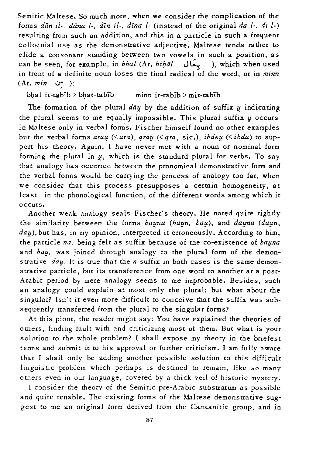Semitic Maltese. So much more, when we consider the complication of the forms *diin if-, dana* 1-, *din il-, dina* 1- (instead of the original *da* I., *di* 1-) resulting from such an addition, and this in a particle in such a frequent colloquial use as the demonstrative adjective: Maltese tends rather to elide a consonant standing between two vowels in such a position, as can be seen, for example, in *bhal* (Ar. *bihal*  $\overrightarrow{all}$ ), which when used in front of a definite noun loses the final radical of the word, or in *minn* (Ar. *min* U; ):

bhal it-tabib > bhat-tabib minn it-tabib > mit-tabib

The formation of the plural  $d\bar{a}u$  by the addition of suffix  $u$  indicating the plural seems to me equally impossible. This plural suffix  $u$  occurs in Maltese only in verbal forms. Fischer himself found no other examples but the verbal forms *arau* (<*ara*), *qrau* (<*qra*, sic.), *ibdeu* (<*ibda*) to support his theory. Again, I have never met with a noun or nominal form forming the plural in  $\mu$ , which is the standard plural for verbs. To say that analogy has occurred between the pronominal demonstrative form and the verbal forms would be carrying the process of analogy too far, when we consider that this process presupposes a certain homogeneity, at least in the phonological function, of the different words among which it occurs.

Another weak analogy seals Fischer's theory. He noted quite rightly the similarity between the forms *hauna (haun, hau)*, and *dauna (daun*, day), but has, in my opinion, interpreted it erroneously. According to him, the particle *na*, being felt as suffix because of the co-existence of *bauna* and *hau*, was joined through analogy to the plural form of the demonstrative *day*. It is true that the *n* suffix in both cases is the same demonstrative particle, but its transference from one word to another at a post-Arabic period by mere analogy seems to me improbable. Besides, such an analogy could explain at most only the plural; but what about the singular? Isn't it even more difficult to conceive that the suffix was subsequently transferred from the plural to the singular forms?

At this piont, the reader might say: You have explained the theories of others, finding fault with and criticizing most of them. But what is your solution to the whole problem? I shall expose my theory in the briefest terms and submit it to his approval or further criticism. I am fully aware that I shall only be adding another possible solution to this difficult linguistic problem which perhaps is destined to remain, like so many others even in our language, covered by a thick veil of historic mystery.

I consider the theory of the Semitic pre-Arabic substratum as possible and quite tenable. The existing forms of the Maltese demonstrative suggest to me an original form derived from the Canaanitic group, and in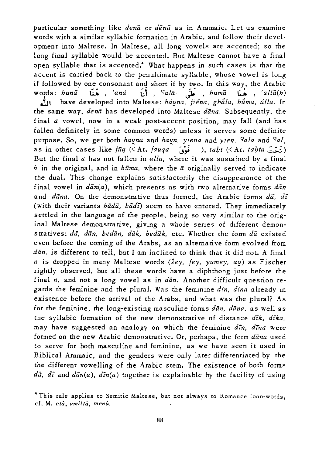particular something like *dena* or *dena* as in Aramaic. Let us examine words with a similar syllabic formation in Arabic, and follow their development into Maltese. In Maltese, all long vowels are accented; so the long final syllable would be accented. But Maltese cannot have a final open syllable that is accented.<sup>4</sup> What happens in such cases is that the accent is carried back to the penultimate syllable, whose vowel is long if followed by one consonant and short if by two. In this way, the Arabic<br>words: *huna* , 'ana , 'ana , 'sala , shuma , buma , 'alla(h)<br>In have developed into Maltese: *háuna jiéna ohála húma álla* In **J.jl** have developed into Maltese: *hii!!na, jiena, ghiila, hiima, dlla.* In the same way, *dena* has developed into Maltese *dana.* Subsequently, the final *a* vowel, now in a weak post-accent position, may fall (and has fallen definitely in some common words) unless it serves some definite purpose. So, we get both *hauna* and *haun*, *yiena* and *yien*, *Sala* and *Sal*, as in other cases like *fuq* (< Ar. *fauqa i*, *taht* (< Ar. *tahta* ( $\overline{z}$ But the final *a* has not fallen in *alla,* where it was sustained by a final *h* in the original, and in *huma,* where the *a* originally served to indicate the dual. This change explains satisfactorily the disappearance of the final vowel in  $d\bar{a}n(a)$ , which presents us with two alternative forms  $d\bar{a}n$ and *dana.* On the demonstrative thus formed, the Arabic forms *da, di*  (with their variants *hada*, *hadi*) seem to have entered. They immediately settled in the language of the people, being so very similar to the original Maltese demonstrative, giving a whole series of different demonstrati ves: *da, dan, hedan, dak, hedak,* etc. Whether the form *da* existed even before the coming of the Arabs, as an alternative form evolved from *dan, is* different to tell, but I am inclined to think that it did not. A final *n is* dropped in many Maltese words *(sey, fey, yumey, a1f)* as Fischer rightly observed, but all these words have a diphthong just before the final *n,* and not a long vowel as in *dan.* Another difficult question regards the feminine and the plural. Was the feminine *din, dina* already in existence before the arrival of the Arabs, and what was the plural? As for the feminine, the long-existing masculine forms *dan, dana,* as well as the syllabic formation of the new demonstrative of distance *dik, dika,*  may have suggested an analogy on which the feminine *din, drna* were formed on the new Arabic demonstrative. Or, perhaps, the form *dana* used to serve for both masculine and feminine, as we have seen it used in Biblical Aramaic, and the genders were only later differentiated by the the different vowelling of the Arabic stem. The existence of both forms *dii, di* and *diin(a), din(a)* together is explainable by the facility of using

<sup>4</sup> This rule applies to Semitic Maltese, but not always to Romance loan-words, cf. M. *eta, umilta, menu.*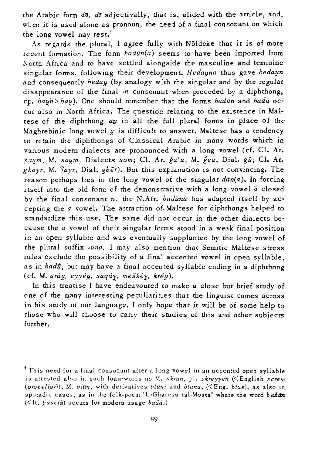the Arabic form *da, dr* adjectivally, that *is, elided with* the article, and, when *it is* used alone as pronoun, the need of a final consonant on which the long vowel may rest.<sup>5</sup>

As regards the plural, I agree fully with Nöldeke that it is of more recent formation. The form *hadun(a)* seems to have been imported from North Africa and to have settled alongside the masculine and feminine singular forms, following their development. *Hedauna* thus gave *hedaun* and consequently *heday* (by analogy with the singular and by the regular disappearance of the final *-n* consonant when preceded by a diphthong, cp. *hayn> hay*). One should remember that the forms *hadun* and *hadu* occur also in North Africa. The question relating to the existence in Maltese of the diphthong  $a\mu$  in all the full plural forms in place of the Maghrebinic long vowel  $y$  is difficult to answer. Maltese has a tendency to retain the diphthongs of Classical Arabic in many words which in various modern dialects are pronounced with a long vowel (cf. Cl. Ar. ~a~m, M. *salJ;m,* Dialects *som;* Cl. Ar. *ga'u,* M. *geu,* Dial. *gu;* Cl. Ar. *ghayr,* M. ~ayr, Dial. *gher).* But this explanation is not convincing. The reason perhaps lies in the long vowel of the singular  $d\bar{a}n(a)$ . In forcing itself into the old form of the demonstrative with a long vowel  $\vec{a}$  closed by the final consonant *n,* the N.Afr. *haduna* has adapted itself by accepting the *a* vowel. The attraction of. Maltese for diphthongs helped to standardize this use. The same did not occur in the other dialects because the *a* vowel of their singular forms stood in a weak final position in an open syllable and was eventually supplanted by the long vowel of the plural suffix *-ūna*. I may also mention that Semitic Maltese stress rules exclude the possibility of a final accented vowel in open syllable, as in *hadfi,* but may have a final accented syllable ending in a diphthong (cf. M. aráu, eyyéu, saqáy, meššéy, kréu).

In this treatise I have endeavoured to make a close but brief study of one of the many interesting peculiarities that the linguist comes across in his study of our language. I only hope that it will be of some help to those who will choose to carry their studies of this and other subjects further.

S This need for a final consonant after a long vowel in an accented open syllable is attested also in such loan-words as M. skrūn, pl. skreyyen (<English screw *(propel/or»,* M. *bliin,* with derivatives *bliini* and *bliina,* «Eng. *blue),* as also in sporadic cases, as in the folk-poem 'L-Gharusa tal-Mosta' where the word *basan* « It. *pascia)* occurs for modern usage *basa.)*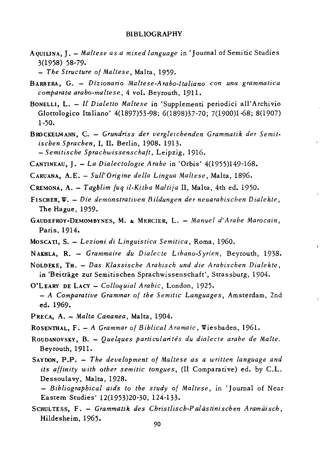## BIBLIOGRAPHY

A QUILINA, J. - *Maltese as a mixed language* in 'Journal of Semitic Studies 3(1958) 58-79.

*- The Structure of Maltese,* Malta, 1959.

- BARBERA, G. *Dizionario Maltese·Arabo-Italiano con una grammatica comparata arabo-maltese,* 4 vol. Beyrouth, 1911.
- BONELLI, L. *Il D ialetto Maltese* in 'Supplementi periodici all' Archi vio Glottologico Italiano' 4(1897)53-98; 6(1898)37-70; 7(1900)1-68; 8(1907) 1-50.
- BRO CKELM ANN, c. *Grundriss der vergleichenden Grammatik der Semitischen Sprachen,* I, 11. Berlin, 1908. 1913. *- Semitische Sprachwissenschaft,* Leipzig, 1916.

CANTlNEAU, J. - *La Dialectologie Arabe* in 'Orbis' 4(1955)149-168.

- CARUANA, A.E. *SuU'Origine della Lingua Maltese,* Malta, 1896.
- CREMONA, A. *Tagblim fuq il-Kitba Maltija* lI, Malta, 4th ed. 1950.
- FISCHER, W. *Die demonstrativen Bildungen der neuarabischen Dialekte,*  The Hague, 1959.
- GAUDEFROY-DEMOMBYNES, M. & MERCIER, L. Manuel d'Arabe Marocain, Paris, 1914.
- MOSCATI, S. *Lezioni di Linguistica Semitica,* Roma, 1960.
- NAKHLA, R. *Grammaire du Dialecte Libano-Syrien,* Beyrouth, 1938.
- NOLDEKE, TH. *Das Klassische Arabisch und die* A *rabischen Dialekte,*  in 'Beitrage zur Semitischen Sprachwissenschaft', Strassburg, 1904.
- O'LEARY DE LACY *Colloquial Arabic,* London, 1925. - A *Comparative Grammar of the Semitic Languages,* Amsterdam, 2nd ed. 1969.
- PRECA, A. *Malta Cananea,* Malta, 1904.
- ROSENTHAL, F. A *Grammar of Biblical Aramaic*, Wiesbaden, 1961.
- ROUDANOVSKY, B. *Quelques particularités du dialecte arabe de Malte.* Beyrouth,1911.
- SAYDON, P.P. *The development of Maltese as a written language and its affinity with other semitic tongues,* (11 Comparative) ed. by c.L. Dessoulavy, Malta, 1928.

- Bibliographical aids to the study of Maltese, in 'Journal of Near Eastern Studies' 12(1953)20-30, 124-133.

SCHULTESS, F. - Grammatik des Christlisch-Palästinischen Aramäisch, Hildesheim, 1965.